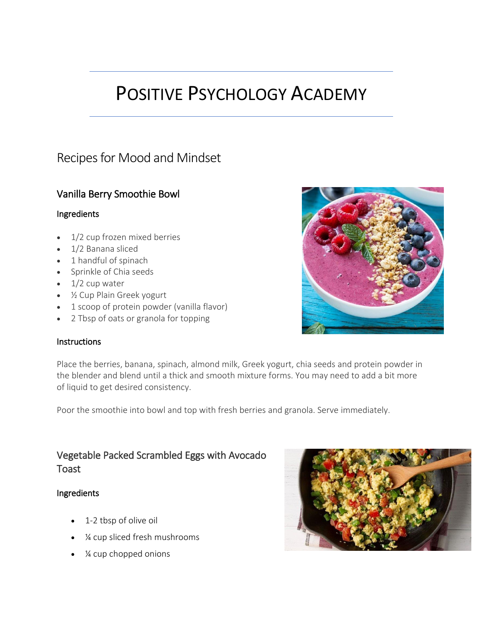# POSITIVE PSYCHOLOGY ACADEMY

# Recipes for Mood and Mindset

# Vanilla Berry Smoothie Bowl

#### Ingredients

- 1/2 cup frozen mixed berries
- 1/2 Banana sliced
- 1 handful of spinach
- Sprinkle of Chia seeds
- $\bullet$  1/2 cup water
- ½ Cup Plain Greek yogurt
- 1 scoop of protein powder (vanilla flavor)
- 2 Tbsp of oats or granola for topping



Place the berries, banana, spinach, almond milk, Greek yogurt, chia seeds and protein powder in the blender and blend until a thick and smooth mixture forms. You may need to add a bit more of liquid to get desired consistency.

Poor the smoothie into bowl and top with fresh berries and granola. Serve immediately.

## Vegetable Packed Scrambled Eggs with Avocado Toast

#### Ingredients

- 1-2 tbsp of olive oil
- ¼ cup sliced fresh mushrooms
- *1*⁄4 cup chopped onions